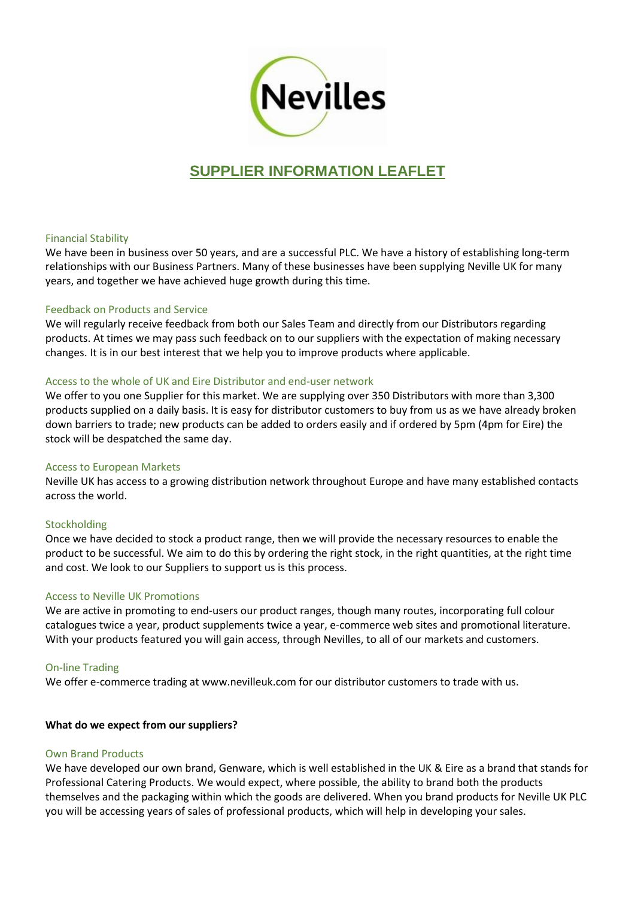

# **SUPPLIER INFORMATION LEAFLET**

## Financial Stability

We have been in business over 50 years, and are a successful PLC. We have a history of establishing long-term relationships with our Business Partners. Many of these businesses have been supplying Neville UK for many years, and together we have achieved huge growth during this time.

## Feedback on Products and Service

We will regularly receive feedback from both our Sales Team and directly from our Distributors regarding products. At times we may pass such feedback on to our suppliers with the expectation of making necessary changes. It is in our best interest that we help you to improve products where applicable.

## Access to the whole of UK and Eire Distributor and end-user network

We offer to you one Supplier for this market. We are supplying over 350 Distributors with more than 3,300 products supplied on a daily basis. It is easy for distributor customers to buy from us as we have already broken down barriers to trade; new products can be added to orders easily and if ordered by 5pm (4pm for Eire) the stock will be despatched the same day.

#### Access to European Markets

Neville UK has access to a growing distribution network throughout Europe and have many established contacts across the world.

#### Stockholding

Once we have decided to stock a product range, then we will provide the necessary resources to enable the product to be successful. We aim to do this by ordering the right stock, in the right quantities, at the right time and cost. We look to our Suppliers to support us is this process.

## Access to Neville UK Promotions

We are active in promoting to end-users our product ranges, though many routes, incorporating full colour catalogues twice a year, product supplements twice a year, e-commerce web sites and promotional literature. With your products featured you will gain access, through Nevilles, to all of our markets and customers.

## On-line Trading

We offer e-commerce trading at www.nevilleuk.com for our distributor customers to trade with us.

#### **What do we expect from our suppliers?**

#### Own Brand Products

We have developed our own brand, Genware, which is well established in the UK & Eire as a brand that stands for Professional Catering Products. We would expect, where possible, the ability to brand both the products themselves and the packaging within which the goods are delivered. When you brand products for Neville UK PLC you will be accessing years of sales of professional products, which will help in developing your sales.